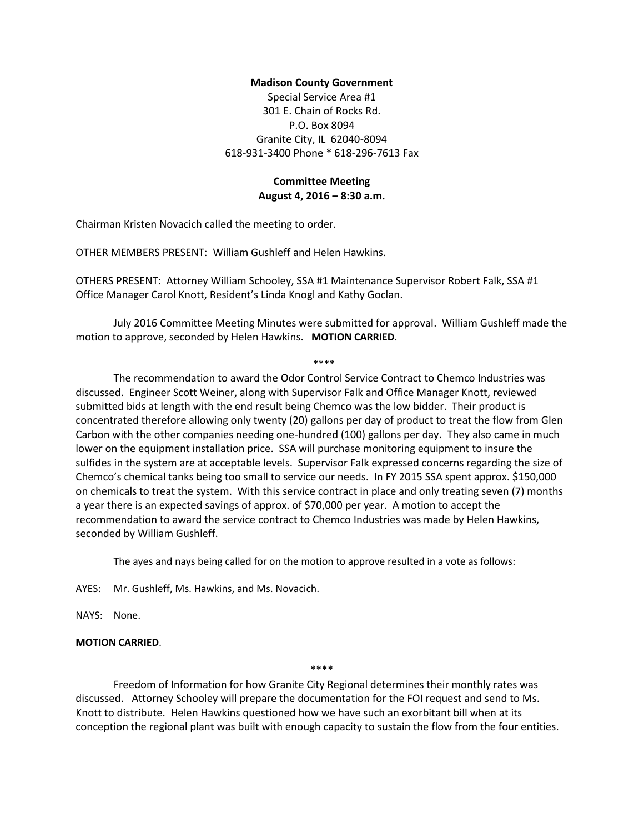#### **Madison County Government**

Special Service Area #1 301 E. Chain of Rocks Rd. P.O. Box 8094 Granite City, IL 62040-8094 618-931-3400 Phone \* 618-296-7613 Fax

## **Committee Meeting August 4, 2016 – 8:30 a.m.**

Chairman Kristen Novacich called the meeting to order.

OTHER MEMBERS PRESENT: William Gushleff and Helen Hawkins.

OTHERS PRESENT: Attorney William Schooley, SSA #1 Maintenance Supervisor Robert Falk, SSA #1 Office Manager Carol Knott, Resident's Linda Knogl and Kathy Goclan.

July 2016 Committee Meeting Minutes were submitted for approval. William Gushleff made the motion to approve, seconded by Helen Hawkins. **MOTION CARRIED**.

\*\*\*\*

The recommendation to award the Odor Control Service Contract to Chemco Industries was discussed. Engineer Scott Weiner, along with Supervisor Falk and Office Manager Knott, reviewed submitted bids at length with the end result being Chemco was the low bidder. Their product is concentrated therefore allowing only twenty (20) gallons per day of product to treat the flow from Glen Carbon with the other companies needing one-hundred (100) gallons per day. They also came in much lower on the equipment installation price. SSA will purchase monitoring equipment to insure the sulfides in the system are at acceptable levels. Supervisor Falk expressed concerns regarding the size of Chemco's chemical tanks being too small to service our needs. In FY 2015 SSA spent approx. \$150,000 on chemicals to treat the system. With this service contract in place and only treating seven (7) months a year there is an expected savings of approx. of \$70,000 per year. A motion to accept the recommendation to award the service contract to Chemco Industries was made by Helen Hawkins, seconded by William Gushleff.

The ayes and nays being called for on the motion to approve resulted in a vote as follows:

AYES: Mr. Gushleff, Ms. Hawkins, and Ms. Novacich.

NAYS: None.

## **MOTION CARRIED**.

\*\*\*\*

Freedom of Information for how Granite City Regional determines their monthly rates was discussed. Attorney Schooley will prepare the documentation for the FOI request and send to Ms. Knott to distribute. Helen Hawkins questioned how we have such an exorbitant bill when at its conception the regional plant was built with enough capacity to sustain the flow from the four entities.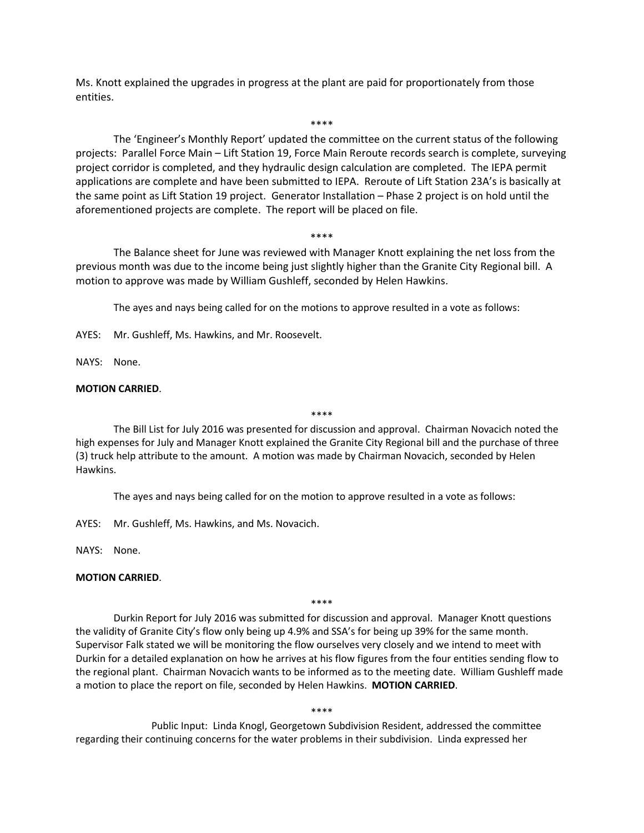Ms. Knott explained the upgrades in progress at the plant are paid for proportionately from those entities.

The 'Engineer's Monthly Report' updated the committee on the current status of the following projects: Parallel Force Main – Lift Station 19, Force Main Reroute records search is complete, surveying project corridor is completed, and they hydraulic design calculation are completed. The IEPA permit applications are complete and have been submitted to IEPA. Reroute of Lift Station 23A's is basically at the same point as Lift Station 19 project. Generator Installation – Phase 2 project is on hold until the aforementioned projects are complete. The report will be placed on file.

\*\*\*\*

# \*\*\*\* The Balance sheet for June was reviewed with Manager Knott explaining the net loss from the previous month was due to the income being just slightly higher than the Granite City Regional bill. A motion to approve was made by William Gushleff, seconded by Helen Hawkins.

The ayes and nays being called for on the motions to approve resulted in a vote as follows:

AYES: Mr. Gushleff, Ms. Hawkins, and Mr. Roosevelt.

NAYS: None.

#### **MOTION CARRIED**.

\*\*\*\*

The Bill List for July 2016 was presented for discussion and approval. Chairman Novacich noted the high expenses for July and Manager Knott explained the Granite City Regional bill and the purchase of three (3) truck help attribute to the amount. A motion was made by Chairman Novacich, seconded by Helen Hawkins.

The ayes and nays being called for on the motion to approve resulted in a vote as follows:

AYES: Mr. Gushleff, Ms. Hawkins, and Ms. Novacich.

NAYS: None.

## **MOTION CARRIED**.

\*\*\*\*

Durkin Report for July 2016 was submitted for discussion and approval. Manager Knott questions the validity of Granite City's flow only being up 4.9% and SSA's for being up 39% for the same month. Supervisor Falk stated we will be monitoring the flow ourselves very closely and we intend to meet with Durkin for a detailed explanation on how he arrives at his flow figures from the four entities sending flow to the regional plant. Chairman Novacich wants to be informed as to the meeting date. William Gushleff made a motion to place the report on file, seconded by Helen Hawkins. **MOTION CARRIED**.

\*\*\*\*

Public Input: Linda Knogl, Georgetown Subdivision Resident, addressed the committee regarding their continuing concerns for the water problems in their subdivision. Linda expressed her